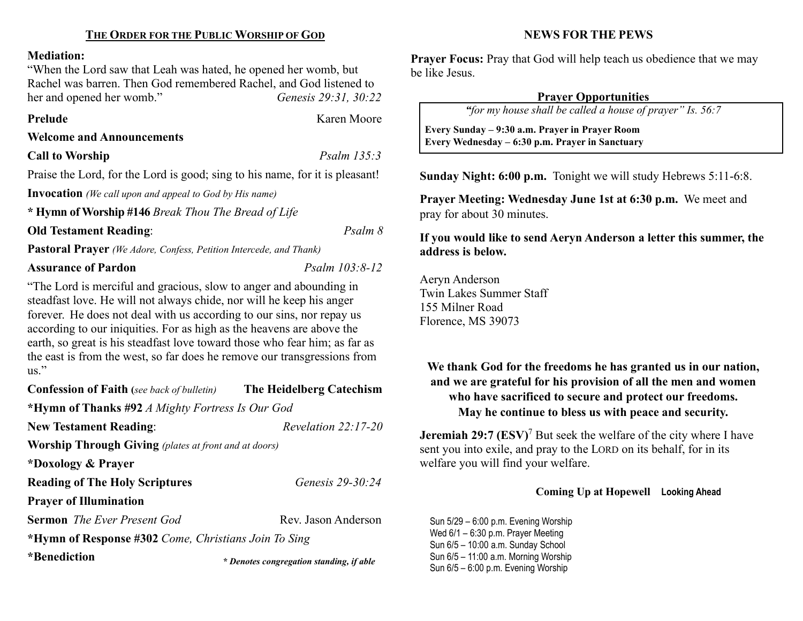#### Mediation:

"When the Lord saw that Leah was hated, he opened her womb, but Rachel was barren. Then God remembered Rachel, and God listened to her and opened her womb." Genesis 29:31, 30:22

Prelude **Karen Moore** 

#### Welcome and Announcements

Call to Worship Psalm 135:3

 $\overline{\phantom{a}}$ 

Praise the Lord, for the Lord is good; sing to his name, for it is pleasant!

Invocation (We call upon and appeal to God by His name)

\* Hymn of Worship #146 Break Thou The Bread of Life

Old Testament Reading: Psalm 8

Pastoral Prayer (We Adore, Confess, Petition Intercede, and Thank)

## Assurance of Pardon Psalm 103:8-12

"The Lord is merciful and gracious, slow to anger and abounding in steadfast love. He will not always chide, nor will he keep his anger forever. He does not deal with us according to our sins, nor repay us according to our iniquities. For as high as the heavens are above the earth, so great is his steadfast love toward those who fear him; as far as the east is from the west, so far does he remove our transgressions from  $\overline{\text{us}}$ ."

| <b>Confession of Faith</b> (see back of bulletin) | The Heidelberg Catechism |
|---------------------------------------------------|--------------------------|
| *Hymn of Thanks #92 A Mighty Fortress Is Our God  |                          |
| <b>New Testament Reading:</b>                     | Revelation $22:17-20$    |

Worship Through Giving (plates at front and at doors)

\*Doxology & Prayer

Reading of The Holy Scriptures *Genesis 29-30:24* 

Prayer of Illumination

**Sermon** The Ever Present God Rev. Jason Anderson

\*Hymn of Response #302 Come, Christians Join To Sing

\*Benediction

#### NEWS FOR THE PEWS

**Prayer Focus:** Pray that God will help teach us obedience that we may be like Jesus.

# Prayer Opportunities

"for my house shall be called a house of prayer" Is. 56:7

 Every Sunday – 9:30 a.m. Prayer in Prayer Room Every Wednesday – 6:30 p.m. Prayer in Sanctuary

Sunday Night: 6:00 p.m. Tonight we will study Hebrews 5:11-6:8.

Prayer Meeting: Wednesday June 1st at 6:30 p.m. We meet and pray for about 30 minutes.

# If you would like to send Aeryn Anderson a letter this summer, the address is below.

Aeryn Anderson Twin Lakes Summer Staff 155 Milner Road Florence, MS 39073

# We thank God for the freedoms he has granted us in our nation, and we are grateful for his provision of all the men and women who have sacrificed to secure and protect our freedoms. May he continue to bless us with peace and security.

**Jeremiah 29:7 (ESV)<sup>7</sup>** But seek the welfare of the city where I have sent you into exile, and pray to the LORD on its behalf, for in its welfare you will find your welfare.

## Coming Up at Hopewell Looking Ahead

Sun 5/29 – 6:00 p.m. Evening Worship Wed 6/1 – 6:30 p.m. Prayer Meeting Sun 6/5 – 10:00 a.m. Sunday School Sun 6/5 – 11:00 a.m. Morning Worship Sun 6/5 – 11.00 a.m. worlding worship<br>Sun 6/5 – 6:00 p.m. Evening Worship